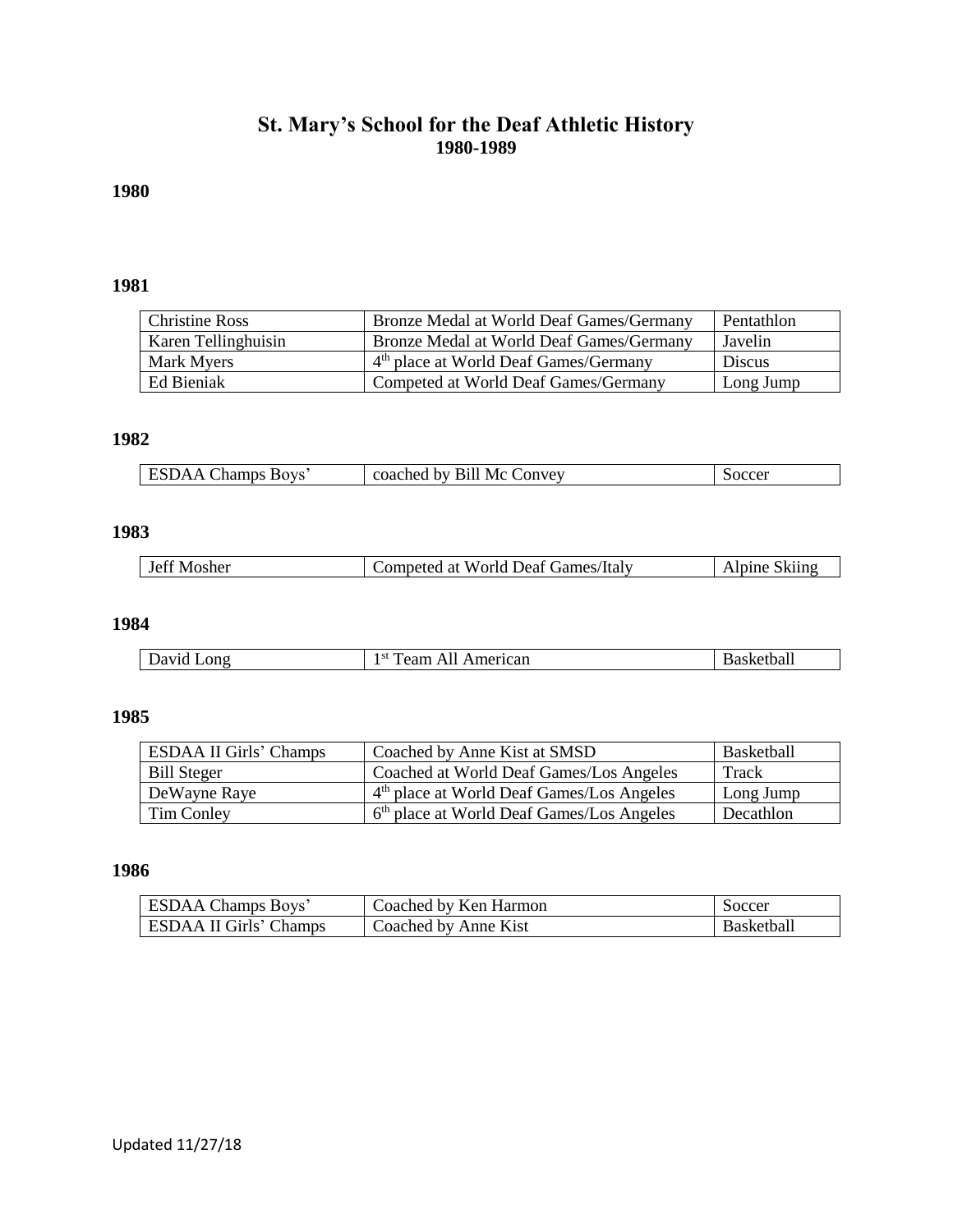### **St. Mary's School for the Deaf Athletic History 1980-1989**

## **1980**

### **1981**

| <b>Christine Ross</b> | Bronze Medal at World Deaf Games/Germany          | Pentathlon |
|-----------------------|---------------------------------------------------|------------|
| Karen Tellinghuisin   | Bronze Medal at World Deaf Games/Germany          | Javelin    |
| Mark Myers            | 4 <sup>th</sup> place at World Deaf Games/Germany | Discus     |
| Ed Bieniak            | Competed at World Deaf Games/Germany              | Long Jump  |

# **1982**

| hamps.<br>$\mathbf{v}$<br><b>BOVS</b> | <b>Bill</b><br>Mc 0<br>coached by<br>$\angle$ onvey | occer |
|---------------------------------------|-----------------------------------------------------|-------|

#### **1983**

| Jeff Mosher<br>competed c | l at World Deaf Games/Italy | Skiins<br>$\triangle$ line $\triangle$ |
|---------------------------|-----------------------------|----------------------------------------|
|---------------------------|-----------------------------|----------------------------------------|

#### **1984**

| ong<br>и | $-$<br>∣∍u<br>merican<br>∙≏anı | 'Ual.<br>. r. l |
|----------|--------------------------------|-----------------|
|          |                                |                 |

### **1985**

| <b>ESDAA II Girls' Champs</b> | Coached by Anne Kist at SMSD                          | <b>Basketball</b> |
|-------------------------------|-------------------------------------------------------|-------------------|
| <b>Bill Steger</b>            | Coached at World Deaf Games/Los Angeles               | Track             |
| DeWayne Raye                  | 4 <sup>th</sup> place at World Deaf Games/Los Angeles | Long Jump         |
| Tim Conley                    | 6 <sup>th</sup> place at World Deaf Games/Los Angeles | Decathlon         |

### **1986**

| <b>ESDAA Champs Boys'</b> | Coached by Ken Harmon | Soccer            |
|---------------------------|-----------------------|-------------------|
| ESDAA II Girls' Champs    | Coached by Anne Kist  | <b>Basketball</b> |